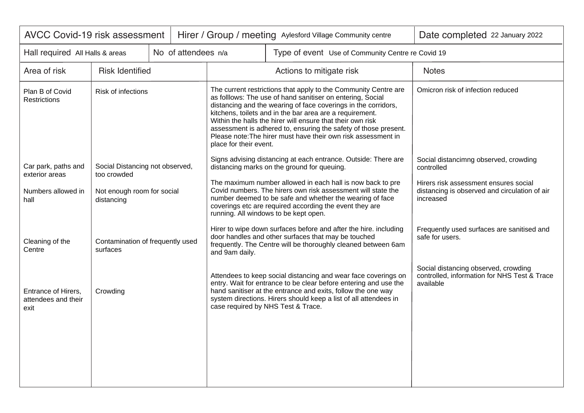| <b>AVCC Covid-19 risk assessment</b>                   |                                                |  |                        |                                                                                                                                                                                                                                                                                                                                                                                                                                                               | Hirer / Group / meeting Aylesford Village Community centre                                                                                                                                                                                                                                                   | Date completed 22 January 2022                                                                    |
|--------------------------------------------------------|------------------------------------------------|--|------------------------|---------------------------------------------------------------------------------------------------------------------------------------------------------------------------------------------------------------------------------------------------------------------------------------------------------------------------------------------------------------------------------------------------------------------------------------------------------------|--------------------------------------------------------------------------------------------------------------------------------------------------------------------------------------------------------------------------------------------------------------------------------------------------------------|---------------------------------------------------------------------------------------------------|
| No of attendees n/a<br>Hall required All Halls & areas |                                                |  |                        | Type of event Use of Community Centre re Covid 19                                                                                                                                                                                                                                                                                                                                                                                                             |                                                                                                                                                                                                                                                                                                              |                                                                                                   |
| Area of risk                                           | <b>Risk Identified</b>                         |  |                        |                                                                                                                                                                                                                                                                                                                                                                                                                                                               | Actions to mitigate risk                                                                                                                                                                                                                                                                                     | <b>Notes</b>                                                                                      |
| Plan B of Covid<br><b>Restrictions</b>                 | Risk of infections                             |  | place for their event. | The current restrictions that apply to the Community Centre are<br>as folllows: The use of hand sanitiser on entering, Social<br>distancing and the wearing of face coverings in the corridors,<br>kitchens, toilets and in the bar area are a requirement.<br>Within the halls the hirer will ensure that their own risk<br>assessment is adhered to, ensuring the safety of those present.<br>Please note: The hirer must have their own risk assessment in | Omicron risk of infection reduced                                                                                                                                                                                                                                                                            |                                                                                                   |
| Car park, paths and<br>exterior areas                  | Social Distancing not observed,<br>too crowded |  |                        |                                                                                                                                                                                                                                                                                                                                                                                                                                                               | Signs advising distancing at each entrance. Outside: There are<br>distancing marks on the ground for queuing.                                                                                                                                                                                                | Social distancimng observed, crowding<br>controlled                                               |
| Numbers allowed in<br>hall                             | Not enough room for social<br>distancing       |  |                        | The maximum number allowed in each hall is now back to pre<br>Covid numbers. The hirers own risk assessment will state the<br>number deemed to be safe and whether the wearing of face<br>coverings etc are required according the event they are<br>running. All windows to be kept open.                                                                                                                                                                    | Hirers risk assessment ensures social<br>distancing is observed and circulation of air<br>increased                                                                                                                                                                                                          |                                                                                                   |
| Cleaning of the<br>Centre                              | Contamination of frequently used<br>surfaces   |  | and 9am daily.         | Hirer to wipe down surfaces before and after the hire. including<br>door handles and other surfaces that may be touched<br>frequently. The Centre will be thoroughly cleaned between 6am                                                                                                                                                                                                                                                                      | Frequently used surfaces are sanitised and<br>safe for users.                                                                                                                                                                                                                                                |                                                                                                   |
| Entrance of Hirers,<br>attendees and their<br>exit     | Crowding                                       |  |                        |                                                                                                                                                                                                                                                                                                                                                                                                                                                               | Attendees to keep social distancing and wear face coverings on<br>entry. Wait for entrance to be clear before entering and use the<br>hand sanitiser at the entrance and exits, follow the one way<br>system directions. Hirers should keep a list of all attendees in<br>case required by NHS Test & Trace. | Social distancing observed, crowding<br>controlled, information for NHS Test & Trace<br>available |
|                                                        |                                                |  |                        |                                                                                                                                                                                                                                                                                                                                                                                                                                                               |                                                                                                                                                                                                                                                                                                              |                                                                                                   |